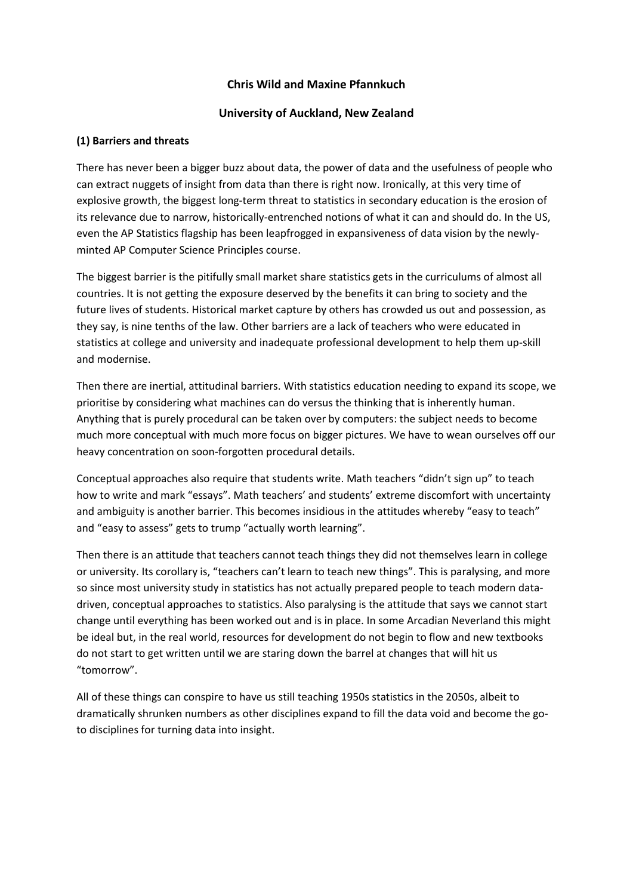## **Chris Wild and Maxine Pfannkuch**

## **University of Auckland, New Zealand**

## **(1) Barriers and threats**

There has never been a bigger buzz about data, the power of data and the usefulness of people who can extract nuggets of insight from data than there is right now. Ironically, at this very time of explosive growth, the biggest long-term threat to statistics in secondary education is the erosion of its relevance due to narrow, historically-entrenched notions of what it can and should do. In the US, even the AP Statistics flagship has been leapfrogged in expansiveness of data vision by the newlyminted AP Computer Science Principles course.

The biggest barrier is the pitifully small market share statistics gets in the curriculums of almost all countries. It is not getting the exposure deserved by the benefits it can bring to society and the future lives of students. Historical market capture by others has crowded us out and possession, as they say, is nine tenths of the law. Other barriers are a lack of teachers who were educated in statistics at college and university and inadequate professional development to help them up-skill and modernise.

Then there are inertial, attitudinal barriers. With statistics education needing to expand its scope, we prioritise by considering what machines can do versus the thinking that is inherently human. Anything that is purely procedural can be taken over by computers: the subject needs to become much more conceptual with much more focus on bigger pictures. We have to wean ourselves off our heavy concentration on soon-forgotten procedural details.

Conceptual approaches also require that students write. Math teachers "didn't sign up" to teach how to write and mark "essays". Math teachers' and students' extreme discomfort with uncertainty and ambiguity is another barrier. This becomes insidious in the attitudes whereby "easy to teach" and "easy to assess" gets to trump "actually worth learning".

Then there is an attitude that teachers cannot teach things they did not themselves learn in college or university. Its corollary is, "teachers can't learn to teach new things". This is paralysing, and more so since most university study in statistics has not actually prepared people to teach modern datadriven, conceptual approaches to statistics. Also paralysing is the attitude that says we cannot start change until everything has been worked out and is in place. In some Arcadian Neverland this might be ideal but, in the real world, resources for development do not begin to flow and new textbooks do not start to get written until we are staring down the barrel at changes that will hit us "tomorrow".

All of these things can conspire to have us still teaching 1950s statistics in the 2050s, albeit to dramatically shrunken numbers as other disciplines expand to fill the data void and become the goto disciplines for turning data into insight.